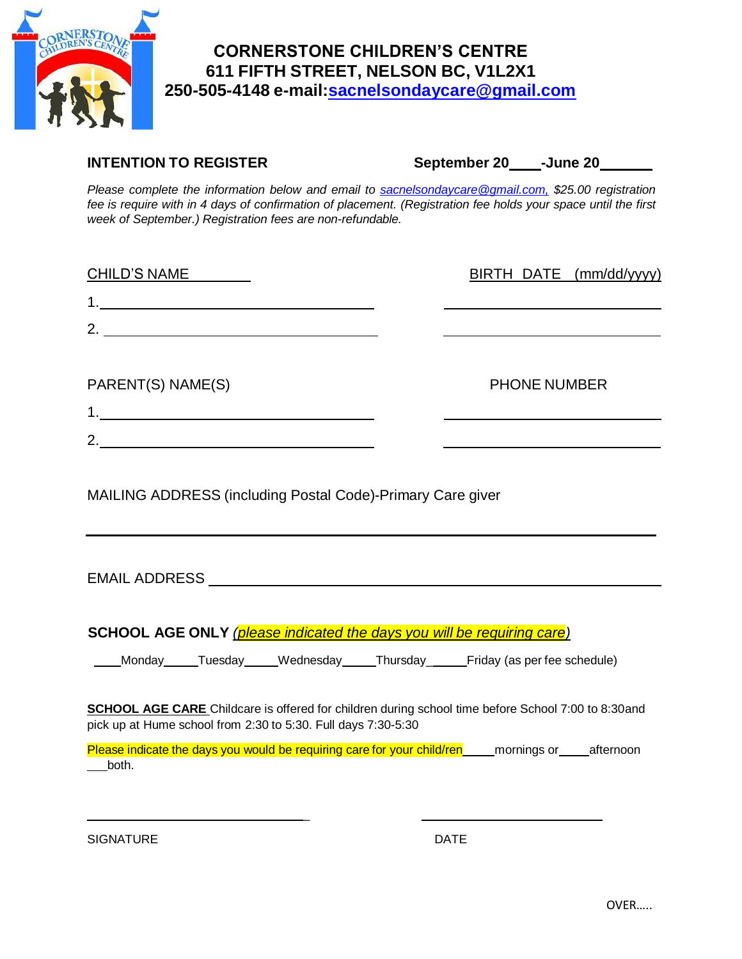

## **CORNERSTONE CHILDREN'S CENTRE 611 FIFTH STREET, NELSON BC, V1L2X1 250-505-4148 e-mail[:sacnelsondaycare@gmail.com](mailto:sacnelsondaycare@gmail.com)**

**INTENTION TO REGISTER September 20\_\_\_\_\_-June 20\_** 

*Please complete the information below and email to [sacnelsondaycare@gmail.com,](mailto:sacnelsondaycare@gmail.com,) \$25.00 registration fee is require with in 4 days of confirmation of placement. (Registration fee holds your space until the first week of September.) Registration fees are non-refundable.*

| <b>CHILD'S NAME</b>                                                                                                                                                        |                     | BIRTH DATE (mm/dd/yyyy) |
|----------------------------------------------------------------------------------------------------------------------------------------------------------------------------|---------------------|-------------------------|
|                                                                                                                                                                            |                     |                         |
| 2. $\qquad$                                                                                                                                                                |                     |                         |
|                                                                                                                                                                            |                     |                         |
| PARENT(S) NAME(S)                                                                                                                                                          | <b>PHONE NUMBER</b> |                         |
|                                                                                                                                                                            |                     |                         |
| 2.                                                                                                                                                                         |                     |                         |
| MAILING ADDRESS (including Postal Code)-Primary Care giver                                                                                                                 |                     |                         |
| SCHOOL AGE ONLY (please indicated the days you will be requiring care)                                                                                                     |                     |                         |
| Monday Tuesday Wednesday Thursday Friday (as per fee schedule)                                                                                                             |                     |                         |
| <b>SCHOOL AGE CARE</b> Childcare is offered for children during school time before School 7:00 to 8:30and<br>pick up at Hume school from 2:30 to 5:30. Full days 7:30-5:30 |                     |                         |
| Please indicate the days you would be requiring care for your child/ren ______ mornings or _____afternoon<br>both.                                                         |                     |                         |

\_

SIGNATURE DATE